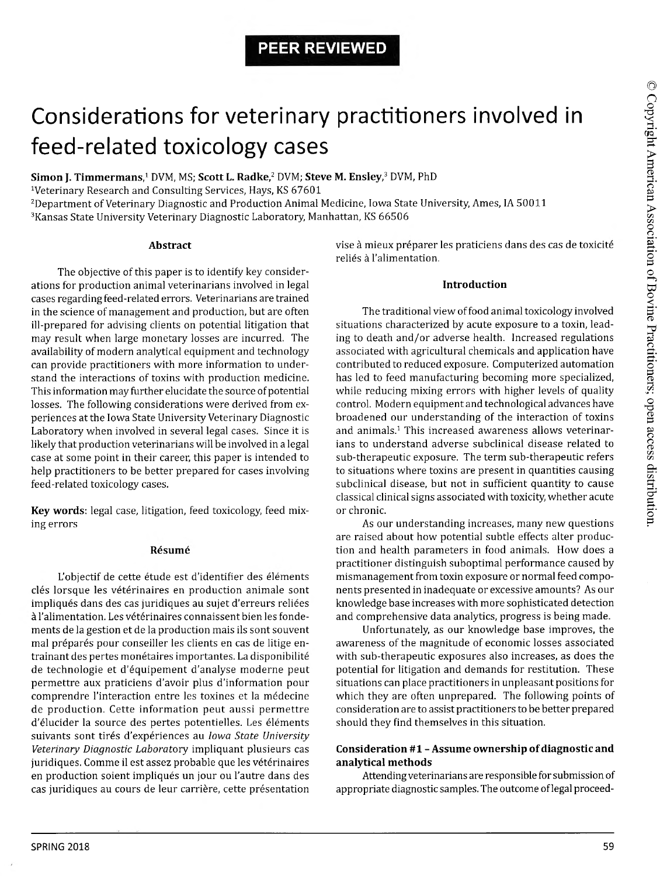## **PEER REVIEWED**

# Considerations for veterinary practitioners involved in feed-related toxicology cases

**Simon J. Timmermans,1** DVM, MS; **Scott L. Radke,2** DVM; **Steve M. Ensley,3** DVM, PhD

Veterinary Research and Consulting Services, Hays, KS 67601

<sup>2</sup>Department of Veterinary Diagnostic and Production Animal Medicine, Iowa State University, Ames, IA 50011 3Kansas State University Veterinary Diagnostic Laboratory, Manhattan, KS 66506

#### **Abstract**

The objective of this paper is to identify key considerations for production animal veterinarians involved in legal cases regarding feed-related errors. Veterinarians are trained in the science of management and production, but are often ill-prepared for advising clients on potential litigation that may result when large monetary losses are incurred. The availability of modern analytical equipment and technology can provide practitioners with more information to understand the interactions of toxins with production medicine. This information may further elucidate the source of potential losses. The following considerations were derived from experiences at the Iowa State University Veterinary Diagnostic Laboratory when involved in several legal cases. Since it is likely that production veterinarians will be involved in a legal case at some point in their career, this paper is intended to help practitioners to be better prepared for cases involving feed-related toxicology cases.

**Key words:** legal case, litigation, feed toxicology, feed mixing errors

#### **Resume**

L'objectif de cette étude est d'identifier des éléments clés lorsque les vétérinaires en production animale sont impliqués dans des cas juridiques au sujet d'erreurs reliées à l'alimentation. Les vétérinaires connaissent bien les fondements de la gestion et de la production mais ils sont souvent mal préparés pour conseiller les clients en cas de litige entrainant des pertes monétaires importantes. La disponibilité de technologie et d'equipement d'analyse moderne peut permettre aux praticiens d'avoir plus d'information pour comprendre l'interaction entre les toxines et la medecine de production. Cette information peut aussi permettre d'élucider la source des pertes potentielles. Les éléments suivants sont tires d'experiences au *Iowa State University* Veterinary Diagnostic Laboratory impliquant plusieurs cas juridiques. Comme il est assez probable que les vétérinaires en production soient impliqués un jour ou l'autre dans des cas juridiques au cours de leur carrière, cette présentation

vise à mieux préparer les praticiens dans des cas de toxicité reliés à l'alimentation.

#### **Introduction**

The traditional view of food animal toxicology involved situations characterized by acute exposure to a toxin, leading to death and/or adverse health. Increased regulations associated with agricultural chemicals and application have contributed to reduced exposure. Computerized automation has led to feed manufacturing becoming more specialized, while reducing mixing errors with higher levels of quality control. Modern equipment and technological advances have broadened our understanding of the interaction of toxins and animals.<sup>1</sup> This increased awareness allows veterinarians to understand adverse subclinical disease related to sub-therapeutic exposure. The term sub-therapeutic refers to situations where toxins are present in quantities causing subclinical disease, but not in sufficient quantity to cause classical clinical signs associated with toxicity, whether acute or chronic.

As our understanding increases, many new questions are raised about how potential subtle effects alter production and health parameters in food animals. How does a practitioner distinguish suboptimal performance caused by mismanagement from toxin exposure or normal feed components presented in inadequate or excessive amounts? As our knowledge base increases with more sophisticated detection and comprehensive data analytics, progress is being made.

Unfortunately, as our knowledge base improves, the awareness of the magnitude of economic losses associated with sub-therapeutic exposures also increases, as does the potential for litigation and demands for restitution. These situations can place practitioners in unpleasant positions for which they are often unprepared. The following points of consideration are to assist practitioners to be better prepared should they find themselves in this situation.

#### **Consideration #1 - Assume ownership of diagnostic and analytical methods**

Attending veterinarians are responsible for submission of appropriate diagnostic samples. The outcome of legal proceed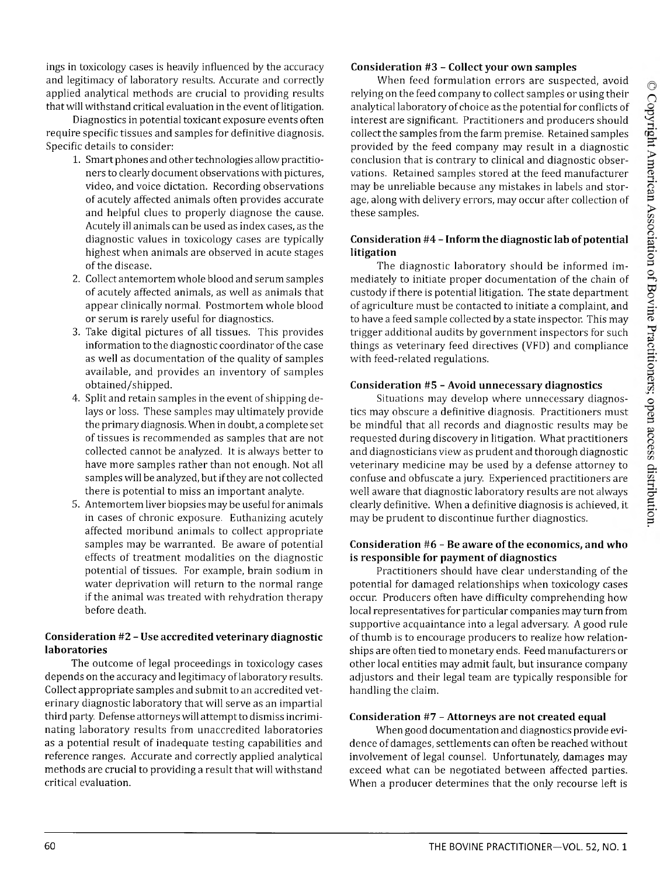ings in toxicology cases is heavily influenced by the accuracy and legitimacy of laboratory results. Accurate and correctly applied analytical methods are crucial to providing results that will withstand critical evaluation in the event of litigation.

Diagnostics in potential toxicant exposure events often require specific tissues and samples for definitive diagnosis. Specific details to consider:

- 1. Smart phones and other technologies allow practitioners to clearly document observations with pictures, video, and voice dictation. Recording observations of acutely affected animals often provides accurate and helpful clues to properly diagnose the cause. Acutely ill animals can be used as index cases, as the diagnostic values in toxicology cases are typically highest when animals are observed in acute stages of the disease.
- 2. Collect antemortem whole blood and serum samples of acutely affected animals, as well as animals that appear clinically normal. Postmortem whole blood or serum is rarely useful for diagnostics.
- 3. Take digital pictures of all tissues. This provides information to the diagnostic coordinator of the case as well as documentation of the quality of samples available, and provides an inventory of samples obtained/shipped.
- 4. Split and retain samples in the event of shipping delays or loss. These samples may ultimately provide the primary diagnosis. When in doubt, a complete set of tissues is recommended as samples that are not collected cannot be analyzed. It is always better to have more samples rather than not enough. Not all samples will be analyzed, but if they are not collected there is potential to miss an important analyte.
- 5. Antemortem liver biopsies may be useful for animals in cases of chronic exposure. Euthanizing acutely affected moribund animals to collect appropriate samples may be warranted. Be aware of potential effects of treatment modalities on the diagnostic potential of tissues. For example, brain sodium in water deprivation will return to the normal range if the animal was treated with rehydration therapy before death.

### **Consideration #2 - Use accredited veterinary diagnostic laboratories**

The outcome of legal proceedings in toxicology cases depends on the accuracy and legitimacy of laboratory results. Collect appropriate samples and submit to an accredited veterinary diagnostic laboratory that will serve as an impartial third party. Defense attorneys will attempt to dismiss incriminating laboratory results from unaccredited laboratories as a potential result of inadequate testing capabilities and reference ranges. Accurate and correctly applied analytical methods are crucial to providing a result that will withstand critical evaluation.

#### **Consideration #3 - Collect your own samples**

When feed formulation errors are suspected, avoid relying on the feed company to collect samples or using their analytical laboratory of choice as the potential for conflicts of interest are significant. Practitioners and producers should collect the samples from the farm premise. Retained samples provided by the feed company may result in a diagnostic conclusion that is contrary to clinical and diagnostic observations. Retained samples stored at the feed manufacturer may be unreliable because any mistakes in labels and storage, along with delivery errors, may occur after collection of these samples.

#### **Consideration #4 - Inform the diagnostic lab of potential litigation**

The diagnostic laboratory should be informed immediately to initiate proper documentation of the chain of custody if there is potential litigation. The state department of agriculture must be contacted to initiate a complaint, and to have a feed sample collected by a state inspector. This may trigger additional audits by government inspectors for such things as veterinary feed directives (VFD) and compliance with feed-related regulations.

#### **Consideration #5 - Avoid unnecessary diagnostics**

Situations may develop where unnecessary diagnostics may obscure a definitive diagnosis. Practitioners must be mindful that all records and diagnostic results may be requested during discovery in litigation. What practitioners and diagnosticians view as prudent and thorough diagnostic veterinary medicine may be used by a defense attorney to confuse and obfuscate a jury. Experienced practitioners are well aware that diagnostic laboratory results are not always clearly definitive. When a definitive diagnosis is achieved, it may be prudent to discontinue further diagnostics.

#### **Consideration #6 - Be aware of the economics, and who is responsible for payment of diagnostics**

Practitioners should have clear understanding of the potential for damaged relationships when toxicology cases occur. Producers often have difficulty comprehending how local representatives for particular companies may turn from supportive acquaintance into a legal adversary. A good rule of thumb is to encourage producers to realize how relationships are often tied to monetary ends. Feed manufacturers or other local entities may admit fault, but insurance company adjustors and their legal team are typically responsible for handling the claim.

#### **Consideration #7 - Attorneys are not created equal**

When good documentation and diagnostics provide evidence of damages, settlements can often be reached without involvement of legal counsel. Unfortunately, damages may exceed what can be negotiated between affected parties. When a producer determines that the only recourse left is